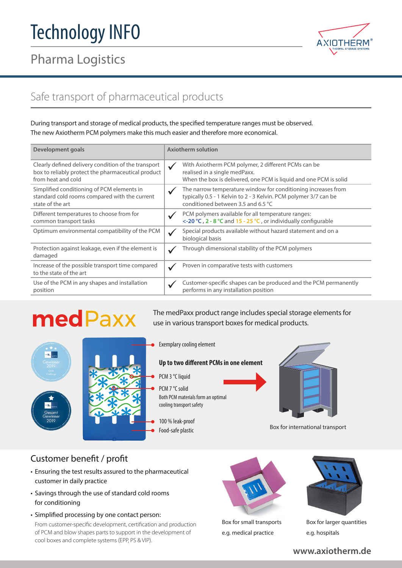# Pharma Logistics



# Safe transport of pharmaceutical products

During transport and storage of medical products, the specified temperature ranges must be observed. The new Axiotherm PCM polymers make this much easier and therefore more economical.

| Development goals                                                                                                               | <b>Axiotherm solution</b>                                                                                                                                                               |
|---------------------------------------------------------------------------------------------------------------------------------|-----------------------------------------------------------------------------------------------------------------------------------------------------------------------------------------|
| Clearly defined delivery condition of the transport<br>box to reliably protect the pharmaceutical product<br>from heat and cold | With Axiotherm PCM polymer, 2 different PCMs can be<br>$\checkmark$<br>realised in a single medPaxx.<br>When the box is delivered, one PCM is liquid and one PCM is solid               |
| Simplified conditioning of PCM elements in<br>standard cold rooms compared with the current<br>state of the art                 | The narrow temperature window for conditioning increases from<br>$\checkmark$<br>typically 0.5 - 1 Kelvin to 2 - 3 Kelvin. PCM polymer 3/7 can be<br>conditioned between 3.5 and 6.5 °C |
| Different temperatures to choose from for<br>common transport tasks                                                             | PCM polymers available for all temperature ranges:<br><-20 °C, 2 - 8 °C and 15 - 25 °C, or individually configurable                                                                    |
| Optimum environmental compatibility of the PCM                                                                                  | Special products available without hazard statement and on a<br>$\checkmark$<br>biological basis                                                                                        |
| Protection against leakage, even if the element is<br>damaged                                                                   | Through dimensional stability of the PCM polymers                                                                                                                                       |
| Increase of the possible transport time compared<br>to the state of the art                                                     | Proven in comparative tests with customers                                                                                                                                              |
| Use of the PCM in any shapes and installation<br>position                                                                       | Customer-specific shapes can be produced and the PCM permanently<br>performs in any installation position                                                                               |

# medPaxx

The medPaxx product range includes special storage elements for use in various transport boxes for medical products.





Exemplary cooling element

#### **Up to two different PCMs in one element**

- PCM 3 °C liquid
- Both PCM materials form an optimal cooling transport safety PCM 7 °C solid
- 100 % leak-proof
- Food-safe plastic



Box for international transport

### Customer benefit / profit

- Ensuring the test results assured to the pharmaceutical customer in daily practice
- Savings through the use of standard cold rooms for conditioning
- Simplified processing by one contact person: From customer-specific development, certification and production of PCM and blow shapes parts to support in the development of cool boxes and complete systems (EPP, PS & VIP).



Box for small transports e.g. medical practice



Box for larger quantities e.g. hospitals

#### **www.axiotherm.de**